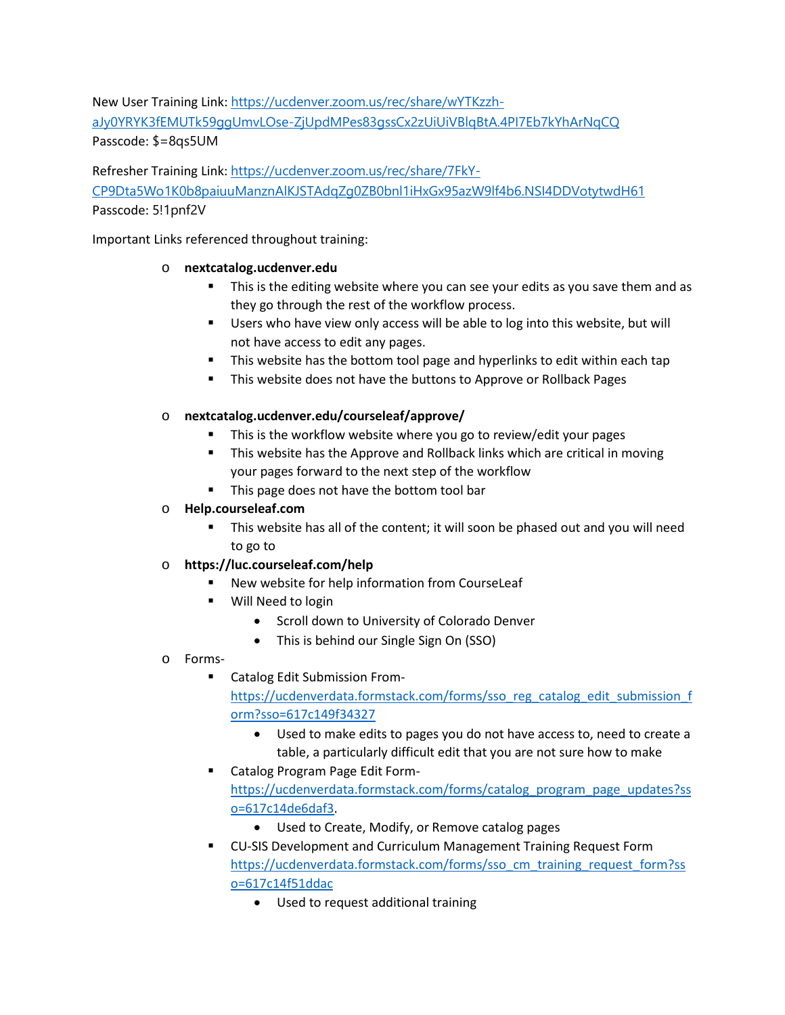New User Training Link: [https://ucdenver.zoom.us/rec/share/wYTKzzh](https://ucdenver.zoom.us/rec/share/wYTKzzh-aJy0YRYK3fEMUTk59ggUmvLOse-ZjUpdMPes83gssCx2zUiUiVBlqBtA.4PI7Eb7kYhArNqCQ)[aJy0YRYK3fEMUTk59ggUmvLOse-ZjUpdMPes83gssCx2zUiUiVBlqBtA.4PI7Eb7kYhArNqCQ](https://ucdenver.zoom.us/rec/share/wYTKzzh-aJy0YRYK3fEMUTk59ggUmvLOse-ZjUpdMPes83gssCx2zUiUiVBlqBtA.4PI7Eb7kYhArNqCQ) Passcode: \$=8qs5UM

Refresher Training Link: [https://ucdenver.zoom.us/rec/share/7FkY-](https://ucdenver.zoom.us/rec/share/7FkY-CP9Dta5Wo1K0b8paiuuManznAlKJSTAdqZg0ZB0bnl1iHxGx95azW9lf4b6.NSI4DDVotytwdH61)[CP9Dta5Wo1K0b8paiuuManznAlKJSTAdqZg0ZB0bnl1iHxGx95azW9lf4b6.NSI4DDVotytwdH61](https://ucdenver.zoom.us/rec/share/7FkY-CP9Dta5Wo1K0b8paiuuManznAlKJSTAdqZg0ZB0bnl1iHxGx95azW9lf4b6.NSI4DDVotytwdH61) Passcode: 5!1pnf2V

Important Links referenced throughout training:

## o **nextcatalog.ucdenver.edu**

- **This is the editing website where you can see your edits as you save them and as** they go through the rest of the workflow process.
- **Users who have view only access will be able to log into this website, but will** not have access to edit any pages.
- **This website has the bottom tool page and hyperlinks to edit within each tap**
- **This website does not have the buttons to Approve or Rollback Pages**

# o **nextcatalog.ucdenver.edu/courseleaf/approve/**

- This is the workflow website where you go to review/edit your pages
- This website has the Approve and Rollback links which are critical in moving your pages forward to the next step of the workflow
- This page does not have the bottom tool bar

# o **Help.courseleaf.com**

**This website has all of the content; it will soon be phased out and you will need** to go to

# o **https://luc.courseleaf.com/help**

- New website for help information from CourseLeaf
- Will Need to login
	- Scroll down to University of Colorado Denver
	- This is behind our Single Sign On (SSO)

# o Forms-

- Catalog Edit Submission From[https://ucdenverdata.formstack.com/forms/sso\\_reg\\_catalog\\_edit\\_submission\\_f](https://ucdenverdata.formstack.com/forms/sso_reg_catalog_edit_submission_form?sso=617c149f34327) [orm?sso=617c149f34327](https://ucdenverdata.formstack.com/forms/sso_reg_catalog_edit_submission_form?sso=617c149f34327)
	- Used to make edits to pages you do not have access to, need to create a table, a particularly difficult edit that you are not sure how to make
- Catalog Program Page Edit Form[https://ucdenverdata.formstack.com/forms/catalog\\_program\\_page\\_updates?ss](https://ucdenverdata.formstack.com/forms/catalog_program_page_updates?sso=617c14de6daf3) [o=617c14de6daf3.](https://ucdenverdata.formstack.com/forms/catalog_program_page_updates?sso=617c14de6daf3)
	- Used to Create, Modify, or Remove catalog pages
- CU-SIS Development and Curriculum Management Training Request Form [https://ucdenverdata.formstack.com/forms/sso\\_cm\\_training\\_request\\_form?ss](https://ucdenverdata.formstack.com/forms/sso_cm_training_request_form?sso=617c14f51ddac) [o=617c14f51ddac](https://ucdenverdata.formstack.com/forms/sso_cm_training_request_form?sso=617c14f51ddac)
	- Used to request additional training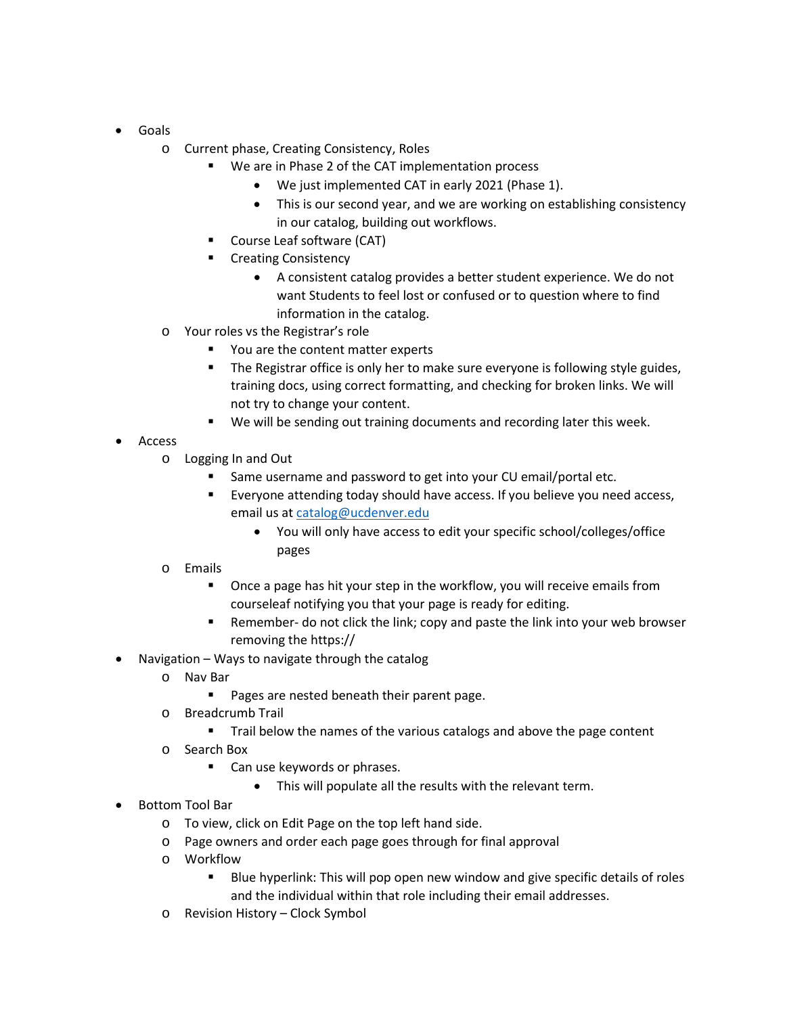- Goals
	- o Current phase, Creating Consistency, Roles
		- We are in Phase 2 of the CAT implementation process
			- We just implemented CAT in early 2021 (Phase 1).
			- This is our second year, and we are working on establishing consistency in our catalog, building out workflows.
		- Course Leaf software (CAT)
		- **E** Creating Consistency
			- A consistent catalog provides a better student experience. We do not want Students to feel lost or confused or to question where to find information in the catalog.
	- o Your roles vs the Registrar's role
		- You are the content matter experts
		- The Registrar office is only her to make sure everyone is following style guides, training docs, using correct formatting, and checking for broken links. We will not try to change your content.
		- We will be sending out training documents and recording later this week.
- Access
	- o Logging In and Out
		- Same username and password to get into your CU email/portal etc.
		- Everyone attending today should have access. If you believe you need access, email us at [catalog@ucdenver.edu](mailto:catalog@ucdenver.edu)
			- You will only have access to edit your specific school/colleges/office pages
	- o Emails
		- Once a page has hit your step in the workflow, you will receive emails from courseleaf notifying you that your page is ready for editing.
		- Remember- do not click the link; copy and paste the link into your web browser removing the https://
- Navigation Ways to navigate through the catalog
	- o Nav Bar
		- **Pages are nested beneath their parent page.**
	- o Breadcrumb Trail
		- Trail below the names of the various catalogs and above the page content
	- o Search Box
		- Can use keywords or phrases.
			- This will populate all the results with the relevant term.
- Bottom Tool Bar
	- o To view, click on Edit Page on the top left hand side.
	- o Page owners and order each page goes through for final approval
	- o Workflow
		- **Blue hyperlink: This will pop open new window and give specific details of roles** and the individual within that role including their email addresses.
	- o Revision History Clock Symbol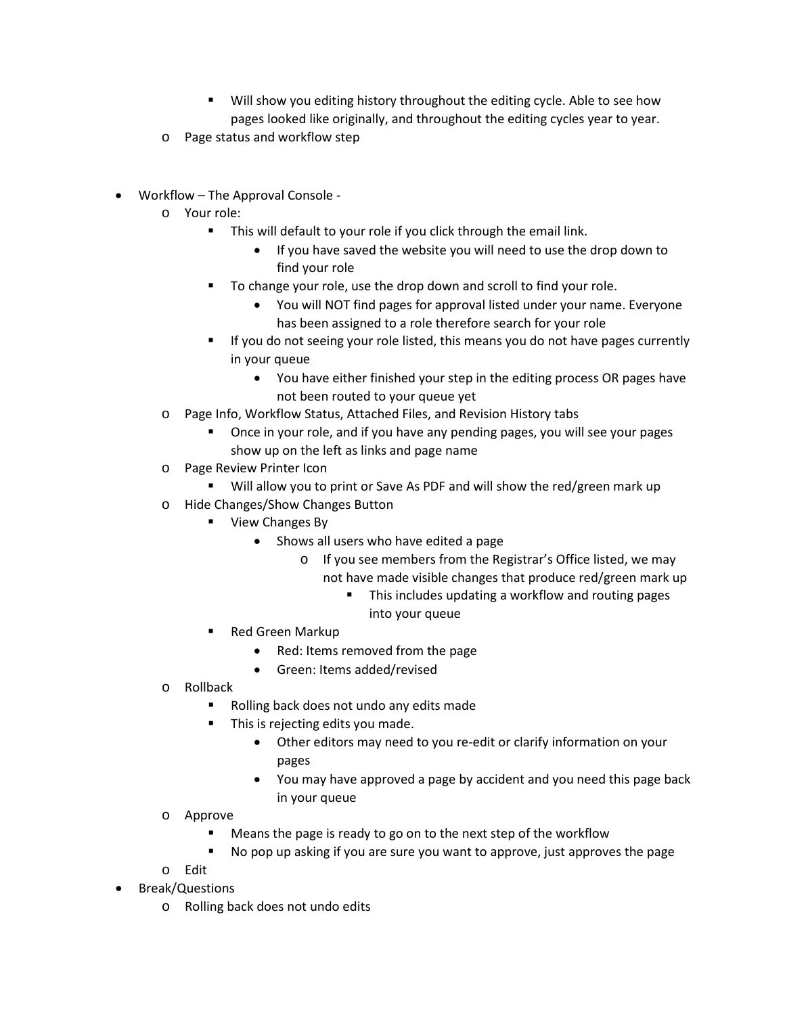- Will show you editing history throughout the editing cycle. Able to see how pages looked like originally, and throughout the editing cycles year to year.
- o Page status and workflow step
- Workflow The Approval Console
	- o Your role:
		- This will default to your role if you click through the email link.
			- If you have saved the website you will need to use the drop down to find your role
		- To change your role, use the drop down and scroll to find your role.
			- You will NOT find pages for approval listed under your name. Everyone has been assigned to a role therefore search for your role
		- If you do not seeing your role listed, this means you do not have pages currently in your queue
			- You have either finished your step in the editing process OR pages have not been routed to your queue yet
	- o Page Info, Workflow Status, Attached Files, and Revision History tabs
		- Once in your role, and if you have any pending pages, you will see your pages show up on the left as links and page name
	- o Page Review Printer Icon
		- Will allow you to print or Save As PDF and will show the red/green mark up
	- o Hide Changes/Show Changes Button
		- **View Changes By** 
			- Shows all users who have edited a page
				- o If you see members from the Registrar's Office listed, we may not have made visible changes that produce red/green mark up
					- This includes updating a workflow and routing pages into your queue
		- Red Green Markup
			- Red: Items removed from the page
			- Green: Items added/revised
	- o Rollback
		- Rolling back does not undo any edits made
		- This is rejecting edits you made.
			- Other editors may need to you re-edit or clarify information on your pages
			- You may have approved a page by accident and you need this page back in your queue
	- o Approve
		- Means the page is ready to go on to the next step of the workflow
		- No pop up asking if you are sure you want to approve, just approves the page
	- o Edit
- Break/Questions
	- o Rolling back does not undo edits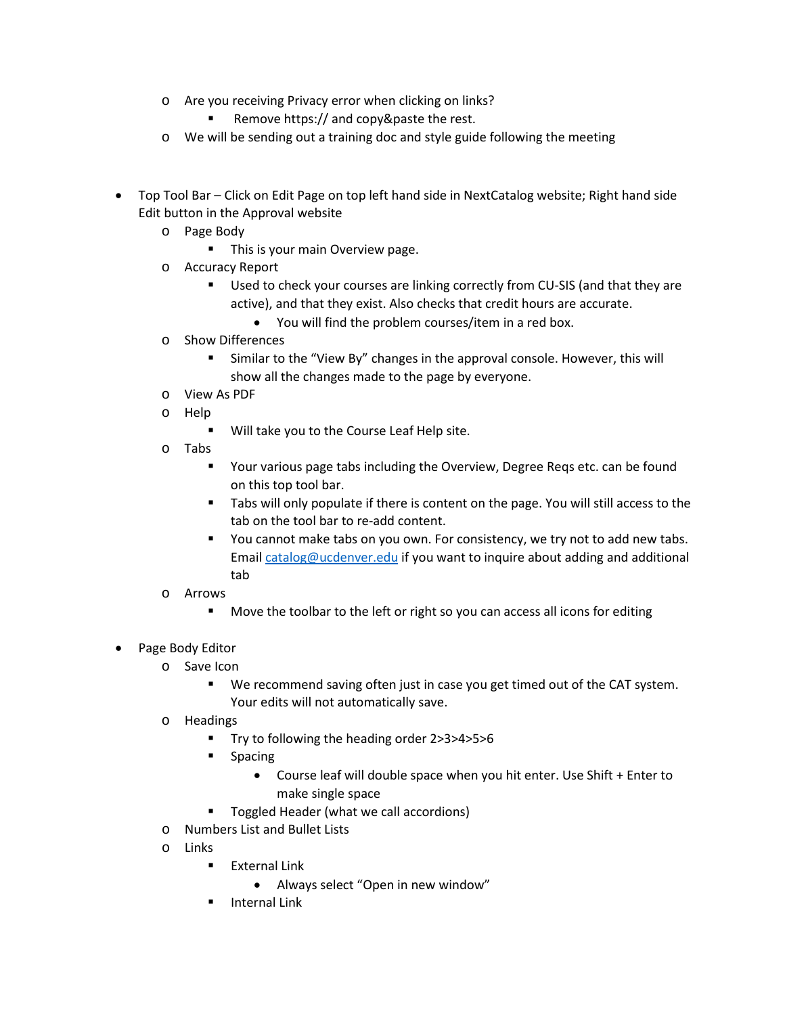- o Are you receiving Privacy error when clicking on links?
	- Remove https:// and copy&paste the rest.
- o We will be sending out a training doc and style guide following the meeting
- Top Tool Bar Click on Edit Page on top left hand side in NextCatalog website; Right hand side Edit button in the Approval website
	- o Page Body
		- **This is your main Overview page.**
	- o Accuracy Report
		- **Used to check your courses are linking correctly from CU-SIS (and that they are** active), and that they exist. Also checks that credit hours are accurate.
			- You will find the problem courses/item in a red box.
	- o Show Differences
		- Similar to the "View By" changes in the approval console. However, this will show all the changes made to the page by everyone.
	- o View As PDF
	- o Help
		- Will take you to the Course Leaf Help site.
	- o Tabs
		- Your various page tabs including the Overview, Degree Reqs etc. can be found on this top tool bar.
		- Tabs will only populate if there is content on the page. You will still access to the tab on the tool bar to re-add content.
		- You cannot make tabs on you own. For consistency, we try not to add new tabs. Email [catalog@ucdenver.edu](mailto:catalog@ucdenver.edu) if you want to inquire about adding and additional tab
	- o Arrows
		- **Move the toolbar to the left or right so you can access all icons for editing**
- Page Body Editor
	- o Save Icon
		- We recommend saving often just in case you get timed out of the CAT system. Your edits will not automatically save.
	- o Headings
		- Try to following the heading order 2>3>4>5>6
		- **Spacing** 
			- Course leaf will double space when you hit enter. Use Shift + Enter to make single space
		- **Toggled Header (what we call accordions)**
	- o Numbers List and Bullet Lists
	- o Links
		- **External Link** 
			- Always select "Open in new window"
		- **Internal Link**